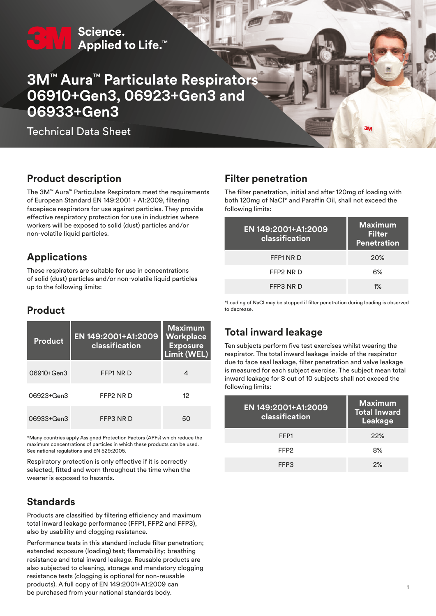# Science. Applied to Life.<sup>™</sup>

# **3M™ Aura™ Particulate Respirato 06910+Gen3, 06923+Gen3 and 06933+Gen3**

Technical Data Sheet

# **Product description**

The 3M™ Aura™ Particulate Respirators meet the requirements of European Standard EN 149:2001 + A1:2009, filtering facepiece respirators for use against particles. They provide effective respiratory protection for use in industries where workers will be exposed to solid (dust) particles and/or non‑volatile liquid particles.

# **Applications**

These respirators are suitable for use in concentrations of solid (dust) particles and/or non-volatile liquid particles up to the following limits:

# **Product**

| <b>Product</b> | EN 149:2001+A1:2009<br>classification | <b>Maximum</b><br>Workplace<br><b>Exposure</b><br>Limit (WEL) |
|----------------|---------------------------------------|---------------------------------------------------------------|
| 06910+Gen3     | FFP1 NR D                             | 4                                                             |
| 06923+Gen3     | FFP2 NR D                             | 12                                                            |
| 06933+Gen3     | FFP3 NR D                             | 50                                                            |

\*Many countries apply Assigned Protection Factors (APFs) which reduce the maximum concentrations of particles in which these products can be used. See national regulations and EN 529:2005.

Respiratory protection is only effective if it is correctly selected, fitted and worn throughout the time when the wearer is exposed to hazards.

# **Standards**

Products are classified by filtering efficiency and maximum total inward leakage performance (FFP1, FFP2 and FFP3), also by usability and clogging resistance.

Performance tests in this standard include filter penetration; extended exposure (loading) test; flammability; breathing resistance and total inward leakage. Reusable products are also subjected to cleaning, storage and mandatory clogging resistance tests (clogging is optional for non‑reusable products). A full copy of EN 149:2001+A1:2009 can be purchased from your national standards body.

# **Filter penetration**

The filter penetration, initial and after 120mg of loading with both 120mg of NaCl\* and Paraffin Oil, shall not exceed the following limits:

| EN 149:2001+A1:2009<br>classification | <b>Maximum</b><br>Filter<br><b>Penetration</b> |
|---------------------------------------|------------------------------------------------|
| FFP1 NR D                             | <b>20%</b>                                     |
| FFP2 NR D                             | 6%                                             |
| FFP3 NR D                             | $1\%$                                          |
|                                       |                                                |

\*Loading of NaCl may be stopped if filter penetration during loading is observed to decrease.

# **Total inward leakage**

Ten subjects perform five test exercises whilst wearing the respirator. The total inward leakage inside of the respirator due to face seal leakage, filter penetration and valve leakage is measured for each subject exercise. The subject mean total inward leakage for 8 out of 10 subjects shall not exceed the following limits:

| EN 149:2001+A1:2009<br>classification | <b>Maximum</b><br><b>Total Inward</b><br>Leakage |
|---------------------------------------|--------------------------------------------------|
| FFP <sub>1</sub>                      | 22%                                              |
| FFP <sub>2</sub>                      | 8%                                               |
| FFP3                                  | 2%                                               |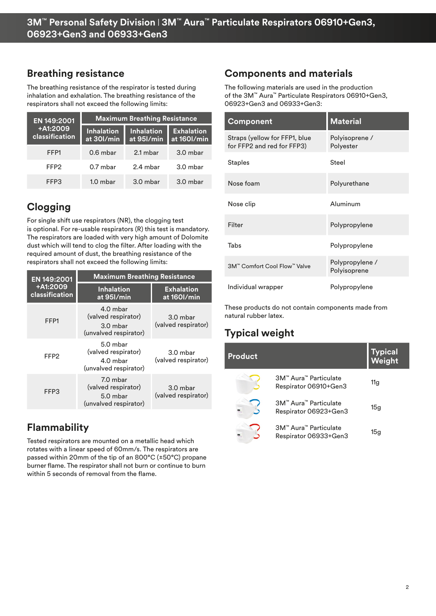## **Breathing resistance**

The breathing resistance of the respirator is tested during inhalation and exhalation. The breathing resistance of the respirators shall not exceed the following limits:

| EN 149:2001                | <b>Maximum Breathing Resistance</b> |                                 |                                  |
|----------------------------|-------------------------------------|---------------------------------|----------------------------------|
| +A1:2009<br>classification | <b>Inhalation</b><br>at 30I/min     | <b>Inhalation</b><br>at 951/min | <b>Exhalation</b><br>at 160l/min |
| FFP1                       | $0.6$ mbar                          | 2.1 mbar                        | $3.0$ mbar                       |
| FFP <sub>2</sub>           | $0.7$ mbar                          | 2.4 mbar                        | $3.0$ mbar                       |
| FFP3                       | $1.0$ mbar                          | $3.0$ mbar                      | $3.0$ mbar                       |

# **Clogging**

For single shift use respirators (NR), the clogging test is optional. For re-usable respirators (R) this test is mandatory. The respirators are loaded with very high amount of Dolomite dust which will tend to clog the filter. After loading with the required amount of dust, the breathing resistance of the respirators shall not exceed the following limits:

| EN 149:2001                | <b>Maximum Breathing Resistance</b>                                    |                                   |
|----------------------------|------------------------------------------------------------------------|-----------------------------------|
| +A1:2009<br>classification | <b>Inhalation</b><br>at 95I/min                                        | <b>Exhalation</b><br>at 160l/min  |
| FFP1                       | 4.0 mbar<br>(valved respirator)<br>$3.0$ mbar<br>(unvalved respirator) | 3.0 mbar<br>(valved respirator)   |
| FFP2                       | 5.0 mbar<br>(valved respirator)<br>4.0 mbar<br>(unvalved respirator)   | $3.0$ mbar<br>(valved respirator) |
| FFP3                       | 7.0 mbar<br>(valved respirator)<br>5.0 mbar<br>(unvalved respirator)   | 3.0 mbar<br>(valved respirator)   |

# **Flammability**

Tested respirators are mounted on a metallic head which rotates with a linear speed of 60mm/s. The respirators are passed within 20mm of the tip of an 800°C (±50°C) propane burner flame. The respirator shall not burn or continue to burn within 5 seconds of removal from the flame.

# **Components and materials**

The following materials are used in the production of the 3M™ Aura™ Particulate Respirators 06910+Gen3, 06923+Gen3 and 06933+Gen3:

| <b>Component</b>                                            | <b>Material</b>                 |
|-------------------------------------------------------------|---------------------------------|
| Straps (yellow for FFP1, blue<br>for FFP2 and red for FFP3) | Polyisoprene /<br>Polyester     |
| <b>Staples</b>                                              | Steel                           |
| Nose foam                                                   | Polyurethane                    |
| Nose clip                                                   | Aluminum                        |
| Filter                                                      | Polypropylene                   |
| Tabs                                                        | Polypropylene                   |
| 3M™ Comfort Cool Flow™ Valve                                | Polypropylene /<br>Polyisoprene |
| Individual wrapper                                          | Polypropylene                   |

These products do not contain components made from natural rubber latex.

# **Typical weight**

| <b>Product</b> |                                                | <b>Typical</b><br>Weight |
|----------------|------------------------------------------------|--------------------------|
|                | 3M™ Aura™ Particulate<br>Respirator 06910+Gen3 | 11g                      |
|                | 3M™ Aura™ Particulate<br>Respirator 06923+Gen3 | 15g                      |
|                | 3M™ Aura™ Particulate<br>Respirator 06933+Gen3 | 15g                      |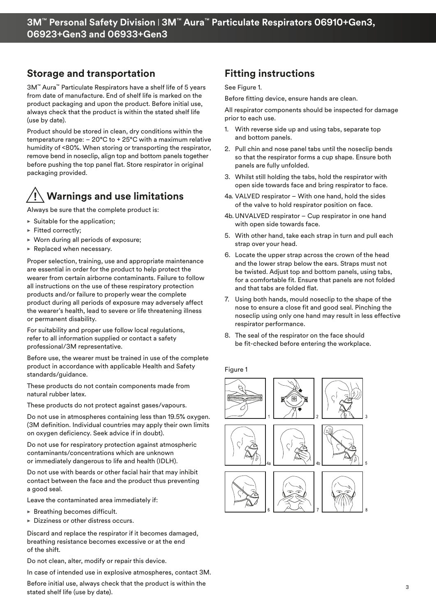# **Storage and transportation**

3M™ Aura™ Particulate Respirators have a shelf life of 5 years from date of manufacture. End of shelf life is marked on the product packaging and upon the product. Before initial use, always check that the product is within the stated shelf life (use by date).

Product should be stored in clean, dry conditions within the temperature range: – 20°C to + 25°C with a maximum relative humidity of <80%. When storing or transporting the respirator, remove bend in noseclip, align top and bottom panels together before pushing the top panel flat. Store respirator in original packaging provided.

# **Warnings and use limitations**

Always be sure that the complete product is:

- $\blacktriangleright$  Suitable for the application:
- $\blacktriangleright$  Fitted correctly:
- $\triangleright$  Worn during all periods of exposure;
- $\blacktriangleright$  Replaced when necessary.

Proper selection, training, use and appropriate maintenance are essential in order for the product to help protect the wearer from certain airborne contaminants. Failure to follow all instructions on the use of these respiratory protection products and/or failure to properly wear the complete product during all periods of exposure may adversely affect the wearer's health, lead to severe or life threatening illness or permanent disability.

For suitability and proper use follow local regulations, refer to all information supplied or contact a safety professional/3M representative.

Before use, the wearer must be trained in use of the complete product in accordance with applicable Health and Safety standards/guidance.

These products do not contain components made from natural rubber latex.

These products do not protect against gases/vapours.

Do not use in atmospheres containing less than 19.5% oxygen. (3M definition. Individual countries may apply their own limits on oxygen deficiency. Seek advice if in doubt).

Do not use for respiratory protection against atmospheric contaminants/concentrations which are unknown or immediately dangerous to life and health (IDLH).

Do not use with beards or other facial hair that may inhibit contact between the face and the product thus preventing a good seal.

Leave the contaminated area immediately if:

- $\triangleright$  Breathing becomes difficult.
- $\triangleright$  Dizziness or other distress occurs.

Discard and replace the respirator if it becomes damaged, breathing resistance becomes excessive or at the end of the shift.

Do not clean, alter, modify or repair this device.

In case of intended use in explosive atmospheres, contact 3M.

Before initial use, always check that the product is within the stated shelf life (use by date).

# **Fitting instructions**

#### See Figure 1.

Before fitting device, ensure hands are clean.

All respirator components should be inspected for damage prior to each use.

- 1. With reverse side up and using tabs, separate top and bottom panels.
- 2. Pull chin and nose panel tabs until the noseclip bends so that the respirator forms a cup shape. Ensure both panels are fully unfolded.
- 3. Whilst still holding the tabs, hold the respirator with open side towards face and bring respirator to face.
- 4a. VALVED respirator With one hand, hold the sides of the valve to hold respirator position on face.
- 4b. UNVALVED respirator Cup respirator in one hand with open side towards face.
- 5. With other hand, take each strap in turn and pull each strap over your head.
- 6. Locate the upper strap across the crown of the head and the lower strap below the ears. Straps must not be twisted. Adjust top and bottom panels, using tabs, for a comfortable fit. Ensure that panels are not folded and that tabs are folded flat.
- 7. Using both hands, mould noseclip to the shape of the nose to ensure a close fit and good seal. Pinching the noseclip using only one hand may result in less effective respirator performance.
- 8. The seal of the respirator on the face should be fit-checked before entering the workplace.

Figure 1